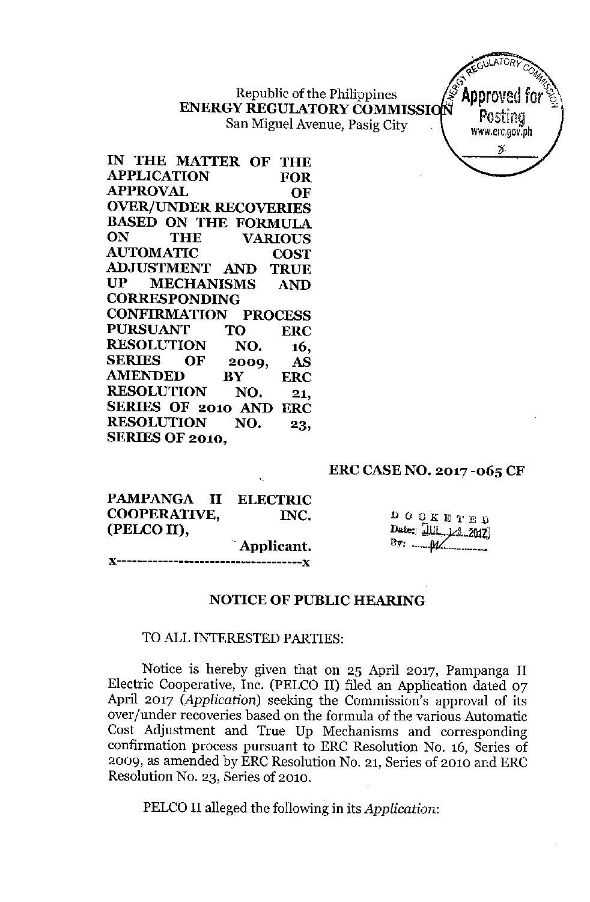Republic of the Philippines **ENERGY REGULATORYCOMMISSI** San Miguel Avenue, Pasig City



**IN THE MA'ITER OF THE APPLICATION FOR APPROVAL OF OVER/UNDER RECOVERIES BASED ON THE FORMULA ON THE VARIOUS AUTOMATIC COST ADJUSTMENT AND TRUE UP MECHANISMS AND CORRESPONDING CONFIRMATION PROCESS PURSUANT TO ERC RESOLUTION NO. 16, SERIES OF 2009, AS AMENDED BY ERC RESOLUTION NO. 21, SERIES OF 2010 AND ERC RESOLUTION NO. 23, SERIES OF 2010,**

#### **ERC CASENO. 2017 -065 CF**

| PAMPANGA II ELECTRIC |  |            |
|----------------------|--|------------|
| COOPERATIVE,         |  | INC.       |
| (PELCO II),          |  |            |
|                      |  | Applicant. |
|                      |  |            |

 $\begin{array}{ccccccccc}\n\mathbf{D} & \mathbf{O} & \mathbf{C} & \mathbf{K} & \mathbf{E} & \mathbf{T} & \mathbf{E} & \mathbf{D}\n\end{array}$ Date: JUL 13 2012  $By:$   $M'$ 

#### **NOTICE OF PUBLIC HEARING**

### TO ALL INTERESTED PARTIES:

Notice is hereby given that on 25 April 2017, Pampanga II Electric Cooperative, Inc. (PELCO II) filed an Application dated 07 April 2017 *(Application)* seeking the Commission's approval of its over/under recoveries based on the formula of the various Automatic Cost Adjustment and True Up Mechanisms and corresponding confirmation process pursuant to ERC Resolution No. 16, Series of 2009, as amended by ERC Resolution No. 21, Series of 2010 and ERC Resolution No. 23, Series of 2010.

PELCO II alleged the following in its *Application:*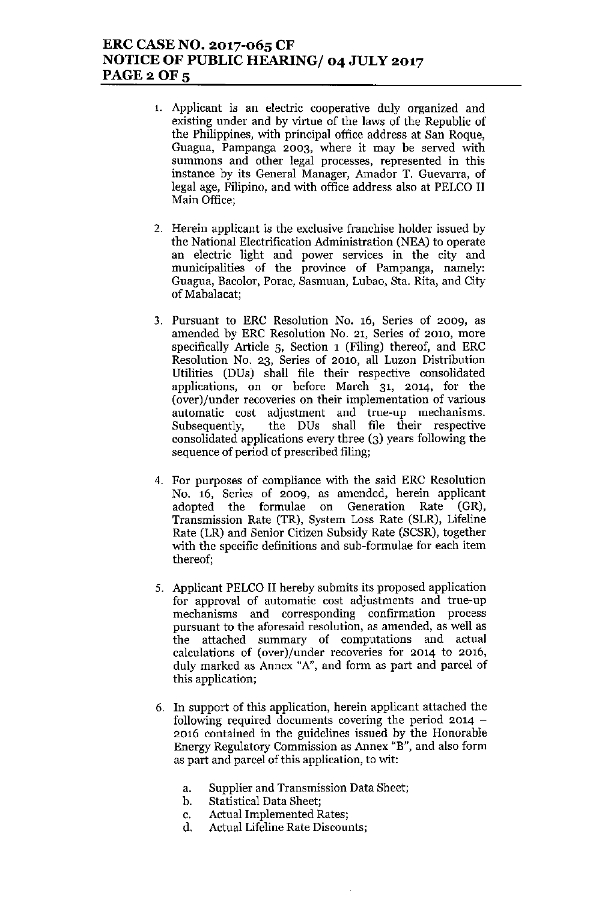## ERC CASE NO. 2017-065 CF NOTICE OF PUBLIC HEARING/ 04 JULY 2017 PAGE 2 OF 5

- 1. Applicant is an electric cooperative duly organized and existing under and by virtue of the laws of the Republic of the Philippines, with principal office address at San Roque, Guagua, Pampanga 2003, where it may be served with summons and other legal processes, represented in this instance by its General Manager, Amador T. Guevarra, of legal age, Filipino, and with office address also at PELCO II Main Office;
- 2. Herein applicant is the exclusive franchise holder issued by the National Electrification Administration (NEA) to operate an electric light and power services in the city and municipalities of the province of Pampanga, namely: Guagua, Bacolor, Parae, Sasmuan, Lubao, 8ta. Rita, and City of Mabalacat;
- 3. Pursuant to ERC Resolution No. 16, Series of 2009, as amended by ERC Resolution No. 21, Series of 2010, more specifically Article 5, Section 1 (Filing) thereof, and ERC Resolution No. 23, Series of 2010, all Luzon Distribution Utilities (DDs) shall file their respective consolidated applications, on or before March 31, 2014, for the (over)/under recoveries on their implementation of various automatic cost adjustment and true-up mechanisms. Subsequently, the DDs shall file their respective consolidated applications every three (3) years following the sequence of period of prescribed filing;
- 4. For purposes of compliance with the said ERC Resolution No. 16, Series of 2009, as amended, herein applicant adopted the formulae on Generation Rate (GR), Transmission Rate (TR), System Loss Rate (SLR), Lifeline Rate (LR) and Senior Citizen Subsidy Rate (SCSR), together with the specific definitions and sub-formulae for each item thereof;
- 5. Applicant PELCO II hereby submits its proposed application for approval of automatic cost adjustments and true-up mechanisms and corresponding confirmation process pursuant to the aforesaid resolution, as amended, as well as the attached summary of computations and actual calculations of (over)/under recoveries for 2014 to 2016, duly marked as Annex *"A",* and form as part and parcel of this application;
- 6. In support of this application, herein applicant attached the following required documents covering the period  $2014 -$ 2016 contained in the guidelines issued by the Honorable Energy Regulatory Commission as Annex "B", and also form as part and parcel of this application, to wit:
	- a. Supplier and Transmission Data Sheet;
	- b. Statistical Data Sheet;
	- c. Actual Implemented Rates;
	- d. Actual Lifeline Rate Discounts;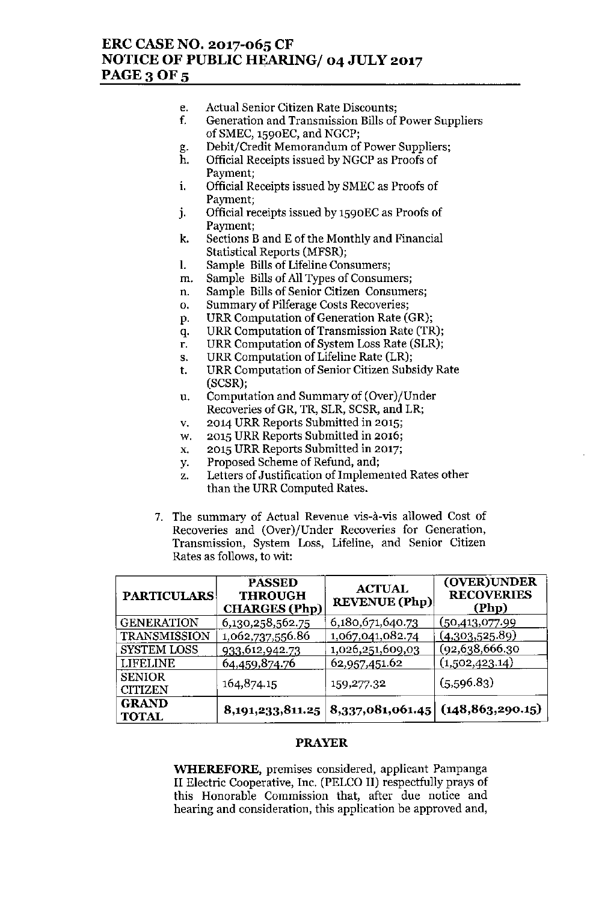## ERC CASE NO. 2017-065 CF NOTICE OF PUBLIC HEARING/ 04 JULY 2017 PAGE 3 OF 5

- e. Actual Senior Citizen Rate Discounts;
- f. Generation and Transmission Bills of Power Suppliers of SMEC, 1590EC, and NGCP;
- g. Debit/Credit Memorandum of Power Suppliers;
- h. Official Receipts issued by NGCP as Proofs of Payment;
- i. Official Receipts issued by SMEC as Proofs of Payment;
- J. Official receipts issued by 1590EC as Proofs of Payment;
- k. Sections Band E of the Monthly and Financial Statistical Reports (MFSR);
- 1. Sample Bills of Lifeline Consumers;
- m. Sample Bills of All Types of Consumers;
- n. Sample Bills of Senior Citizen Consumers;
- o. Summary of Pilferage Costs Recoveries;
- p. URR Computation of Generation Rate (GR);
- q. URR Computation of Transmission Rate (TR);
- r. URR Computation of System Loss Rate (SLR);
- s. URR Computation of Lifeline Rate (LR);
- t. URR Computation of Senior Citizen Subsidy Rate (SCSR);
- u. Computation and Summary of (Over)/Under Recoveries ofGR, TR, SLR, SCSR, and LR;
- v. 2014 URR Reports Submitted in 2015;
- w. 2015 URR Reports Submitted in 2016;
- x. 2015 URR Reports Submitted in 2017;
- y. Proposed Scheme of Refund, and;
- z. Letters of Justification of Implemented Rates other than the URR Computed Rates.
- 7. The summary of Actual Revenue vis-à-vis allowed Cost of Recoveries and (Over)/Under Recoveries for Generation, Transmission, System Loss, Lifeline, and Senior Citizen Rates as follows, to wit:

| <b>PARTICULARS</b>           | <b>PASSED</b><br><b>THROUGH</b><br><b>CHARGES</b> (Php) | <b>ACTUAL</b><br><b>REVENUE</b> (Php)                    | (OVER) UNDER<br><b>RECOVERIES</b><br>(Php) |
|------------------------------|---------------------------------------------------------|----------------------------------------------------------|--------------------------------------------|
| <b>GENERATION</b>            | 6,130,258,562.75                                        | 6,180,671,640.73                                         | (50, 413, 077.99)                          |
| TRANSMISSION                 | 1,062,737,556.86                                        | 1,067,041,082.74                                         | (4,303,525.89)                             |
| <b>SYSTEM LOSS</b>           | <u>933,612,942.73</u>                                   | 1,026,251,609,03                                         | (92, 638, 666.30)                          |
| <b>LIFELINE</b>              | 64,459,874.76                                           | 62,957,451.62                                            | (1,502,423.14)                             |
| <b>SENIOR</b>                | 164,874.15                                              | 159,277.32                                               | (5,596.83)                                 |
| <b>CITIZEN</b>               |                                                         |                                                          |                                            |
| <b>GRAND</b><br><b>TOTAL</b> |                                                         | $8,191,233,811.25   8,337,081,061.45   (148,863,290.15)$ |                                            |

#### PRAYER

**WHEREFORE,** premises considered, applicant Pampanga II Electric Cooperative, Inc. (PELCO II) respectfully prays of this Honorable Commission that, after due notice and hearing and consideration, this application be approved and,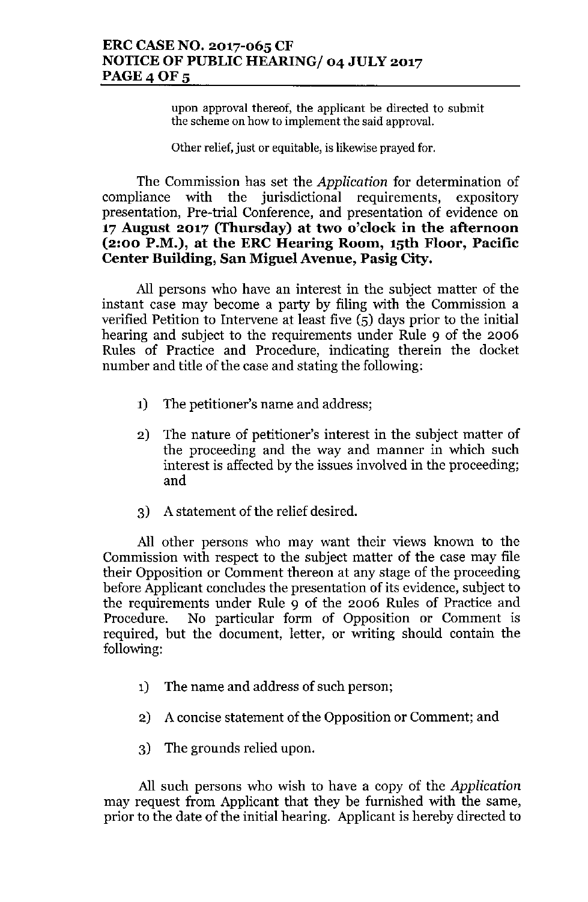**upon approval thereof, the applicant be directed to submit the scheme on how to implement the said approval.**

Other relief, just or equitable, is likewise prayed for.

The Commission has set the *Application* for determination of compliance with the jurisdictional requirements, expository presentation, Pre-trial Conference, and presentation of evidence on **17 August 2017 (Thursday) at two o'clock in the afternoon (2:00 P.M.), at the ERC Hearing Room, 15th Floor, Pacific Center Building, San Miguel Avenue, Pasig City.**

All persons who have an interest in the subject matter of the instant case may become a party by filing with the Commission a verified Petition to Intervene at least five (5) days prior to the initial hearing and subject to the requirements under Rule 9 of the 2006 Rules of Practice and Procedure, indicating therein the docket number and title of the case and stating the following:

- 1) The petitioner's name and address;
- 2) The nature of petitioner's interest **in** the subject matter of the proceeding and the way and manner in which such interest is affected by the issues involved in the proceeding; and
- 3) A statement of the relief desired.

All other persons who may want their views known to the Commission with respect to the subject matter of the case may file their Opposition or Comment thereon at any stage of the proceeding before Applicant concludes the presentation of its evidence, subject to the requirements under Rule 9 of the 2006 Rules of Practice and Procedure. No particular form of Opposition or Comment is required, but the document, letter, or writing should contain the following:

- 1) The name and address of such person;
- 2) A concise statement of the Opposition or Comment; and
- 3) The grounds relied upon.

All such persons who wish to have a copy of the *Application* may request from Applicant that they be furnished with the same, prior to the date of the initial hearing. Applicant is hereby directed to